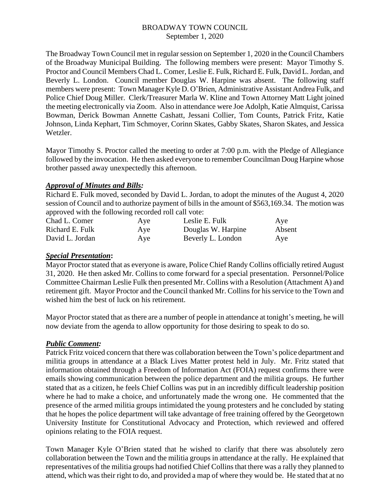The Broadway Town Council met in regular session on September 1, 2020 in the Council Chambers of the Broadway Municipal Building. The following members were present: Mayor Timothy S. Proctor and Council Members Chad L. Comer, Leslie E. Fulk, Richard E. Fulk, David L. Jordan, and Beverly L. London. Council member Douglas W. Harpine was absent. The following staff members were present: Town Manager Kyle D. O'Brien, Administrative Assistant Andrea Fulk, and Police Chief Doug Miller. Clerk/Treasurer Marla W. Kline and Town Attorney Matt Light joined the meeting electronically via Zoom. Also in attendance were Joe Adolph, Katie Almquist, Carissa Bowman, Derick Bowman Annette Cashatt, Jessani Collier, Tom Counts, Patrick Fritz, Katie Johnson, Linda Kephart, Tim Schmoyer, Corinn Skates, Gabby Skates, Sharon Skates, and Jessica Wetzler.

Mayor Timothy S. Proctor called the meeting to order at 7:00 p.m. with the Pledge of Allegiance followed by the invocation. He then asked everyone to remember Councilman Doug Harpine whose brother passed away unexpectedly this afternoon.

## *Approval of Minutes and Bills:*

Richard E. Fulk moved, seconded by David L. Jordan, to adopt the minutes of the August 4, 2020 session of Council and to authorize payment of bills in the amount of \$563,169.34. The motion was approved with the following recorded roll call vote:

| Chad L. Comer   | Aye | Leslie E. Fulk     | Aye    |
|-----------------|-----|--------------------|--------|
| Richard E. Fulk | Aye | Douglas W. Harpine | Absent |
| David L. Jordan | Aye | Beverly L. London  | Aye    |

## *Special Presentation***:**

Mayor Proctor stated that as everyone is aware, Police Chief Randy Collins officially retired August 31, 2020. He then asked Mr. Collins to come forward for a special presentation. Personnel/Police Committee Chairman Leslie Fulk then presented Mr. Collins with a Resolution (Attachment A) and retirement gift. Mayor Proctor and the Council thanked Mr. Collins for his service to the Town and wished him the best of luck on his retirement.

Mayor Proctor stated that as there are a number of people in attendance at tonight's meeting, he will now deviate from the agenda to allow opportunity for those desiring to speak to do so.

# *Public Comment:*

Patrick Fritz voiced concern that there was collaboration between the Town's police department and militia groups in attendance at a Black Lives Matter protest held in July. Mr. Fritz stated that information obtained through a Freedom of Information Act (FOIA) request confirms there were emails showing communication between the police department and the militia groups. He further stated that as a citizen, he feels Chief Collins was put in an incredibly difficult leadership position where he had to make a choice, and unfortunately made the wrong one. He commented that the presence of the armed militia groups intimidated the young protesters and he concluded by stating that he hopes the police department will take advantage of free training offered by the Georgetown University Institute for Constitutional Advocacy and Protection, which reviewed and offered opinions relating to the FOIA request.

Town Manager Kyle O'Brien stated that he wished to clarify that there was absolutely zero collaboration between the Town and the militia groups in attendance at the rally. He explained that representatives of the militia groups had notified Chief Collins that there was a rally they planned to attend, which was their right to do, and provided a map of where they would be. He stated that at no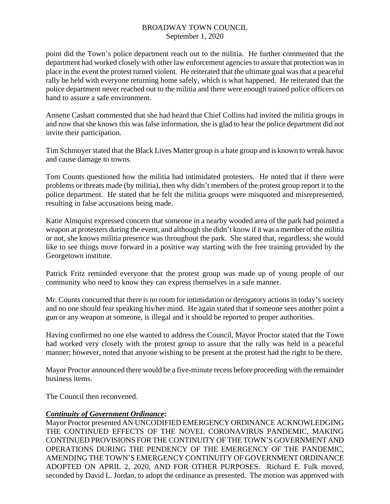point did the Town's police department reach out to the militia. He further commented that the department had worked closely with other law enforcement agencies to assure that protection was in place in the event the protest turned violent. He reiterated that the ultimate goal was that a peaceful rally be held with everyone returning home safely, which is what happened. He reiterated that the police department never reached out to the militia and there were enough trained police officers on hand to assure a safe environment.

Annette Cashatt commented that she had heard that Chief Collins had invited the militia groups in and now that she knows this was false information, she is glad to hear the police department did not invite their participation.

Tim Schmoyer stated that the Black Lives Matter group is a hate group and is known to wreak havoc and cause damage to towns.

Tom Counts questioned how the militia had intimidated protesters. He noted that if there were problems or threats made (by militia), then why didn't members of the protest group report it to the police department. He stated that he felt the militia groups were misquoted and misrepresented, resulting in false accusations being made.

Katie Almquist expressed concern that someone in a nearby wooded area of the park had pointed a weapon at protesters during the event, and although she didn't know if it was a member of the militia or not, she knows militia presence was throughout the park. She stated that, regardless, she would like to see things move forward in a positive way starting with the free training provided by the Georgetown institute.

Patrick Fritz reminded everyone that the protest group was made up of young people of our community who need to know they can express themselves in a safe manner.

Mr. Counts concurred that there is no room for intimidation or derogatory actions in today's society and no one should fear speaking his/her mind. He again stated that if someone sees another point a gun or any weapon at someone, is illegal and it should be reported to proper authorities.

Having confirmed no one else wanted to address the Council, Mayor Proctor stated that the Town had worked very closely with the protest group to assure that the rally was held in a peaceful manner; however, noted that anyone wishing to be present at the protest had the right to be there.

Mayor Proctor announced there would be a five-minute recess before proceeding with the remainder business items.

The Council then reconvened.

#### *Continuity of Government Ordinance***:**

Mayor Proctor presented AN UNCODIFIED EMERGENCY ORDINANCE ACKNOWLEDGING THE CONTINUED EFFECTS OF THE NOVEL CORONAVIRUS PANDEMIC, MAKING CONTINUED PROVISIONS FOR THE CONTINUITY OF THE TOWN'S GOVERNMENT AND OPERATIONS DURING THE PENDENCY OF THE EMERGENCY OF THE PANDEMIC, AMENDING THE TOWN'S EMERGENCY CONTINUITY OF GOVERNMENT ORDINANCE ADOPTED ON APRIL 2, 2020, AND FOR OTHER PURPOSES. Richard E. Fulk moved, seconded by David L. Jordan, to adopt the ordinance as presented. The motion was approved with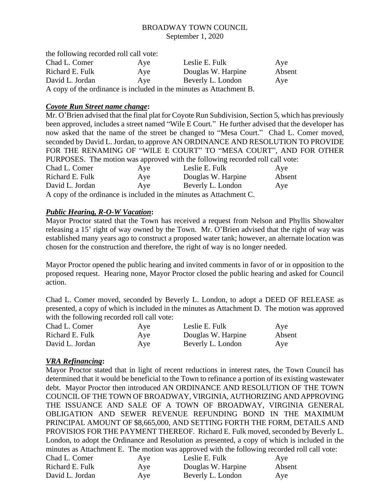| the following recorded roll call vote: |     |                                                                     |        |
|----------------------------------------|-----|---------------------------------------------------------------------|--------|
| Chad L. Comer                          | Ave | Leslie E. Fulk                                                      | Ave    |
| Richard E. Fulk                        | Aye | Douglas W. Harpine                                                  | Absent |
| David L. Jordan                        | Aye | Beverly L. London                                                   | Ave    |
|                                        |     | A copy of the ordinance is included in the minutes as Attachment B. |        |

## *Coyote Run Street name change***:**

|                                                                               |     | Mr. O'Brien advised that the final plat for Coyote Run Subdivision, Section 5, which has previously |        |  |  |
|-------------------------------------------------------------------------------|-----|-----------------------------------------------------------------------------------------------------|--------|--|--|
|                                                                               |     | been approved, includes a street named "Wile E Court." He further advised that the developer has    |        |  |  |
|                                                                               |     | now asked that the name of the street be changed to "Mesa Court." Chad L. Comer moved,              |        |  |  |
|                                                                               |     | seconded by David L. Jordan, to approve AN ORDINANCE AND RESOLUTION TO PROVIDE                      |        |  |  |
|                                                                               |     | FOR THE RENAMING OF "WILE E COURT" TO "MESA COURT", AND FOR OTHER                                   |        |  |  |
| PURPOSES. The motion was approved with the following recorded roll call vote: |     |                                                                                                     |        |  |  |
| Chad L. Comer                                                                 | Aye | Leslie E. Fulk                                                                                      | Aye    |  |  |
| Richard E. Fulk                                                               | Aye | Douglas W. Harpine                                                                                  | Absent |  |  |
| David L. Jordan                                                               | Aye | Beverly L. London                                                                                   | Aye    |  |  |
|                                                                               |     |                                                                                                     |        |  |  |

A copy of the ordinance is included in the minutes as Attachment C.

# *Public Hearing, R-O-W Vacation***:**

Mayor Proctor stated that the Town has received a request from Nelson and Phyllis Showalter releasing a 15' right of way owned by the Town. Mr. O'Brien advised that the right of way was established many years ago to construct a proposed water tank; however, an alternate location was chosen for the construction and therefore, the right of way is no longer needed.

Mayor Proctor opened the public hearing and invited comments in favor of or in opposition to the proposed request. Hearing none, Mayor Proctor closed the public hearing and asked for Council action.

Chad L. Comer moved, seconded by Beverly L. London, to adopt a DEED OF RELEASE as presented, a copy of which is included in the minutes as Attachment D. The motion was approved with the following recorded roll call vote:

| Chad L. Comer   | Aye | Leslie E. Fulk     | Aye    |
|-----------------|-----|--------------------|--------|
| Richard E. Fulk | Aye | Douglas W. Harpine | Absent |
| David L. Jordan | Aye | Beverly L. London  | Aye    |

# *VRA Refinancing***:**

Mayor Proctor stated that in light of recent reductions in interest rates, the Town Council has determined that it would be beneficial to the Town to refinance a portion of its existing wastewater debt. Mayor Proctor then introduced AN ORDINANCE AND RESOLUTION OF THE TOWN COUNCIL OF THE TOWN OF BROADWAY, VIRGINIA, AUTHORIZING AND APPROVING THE ISSUANCE AND SALE OF A TOWN OF BROADWAY, VIRGINIA GENERAL OBLIGATION AND SEWER REVENUE REFUNDING BOND IN THE MAXIMUM PRINCIPAL AMOUNT OF \$8,665,000, AND SETTING FORTH THE FORM, DETAILS AND PROVISIOS FOR THE PAYMENT THEREOF. Richard E. Fulk moved, seconded by Beverly L. London, to adopt the Ordinance and Resolution as presented, a copy of which is included in the minutes as Attachment E. The motion was approved with the following recorded roll call vote:

| Chad L. Comer   | Aye | Leslie E. Fulk     | Aye    |
|-----------------|-----|--------------------|--------|
| Richard E. Fulk | Aye | Douglas W. Harpine | Absent |
| David L. Jordan | Aye | Beverly L. London  | Aye    |